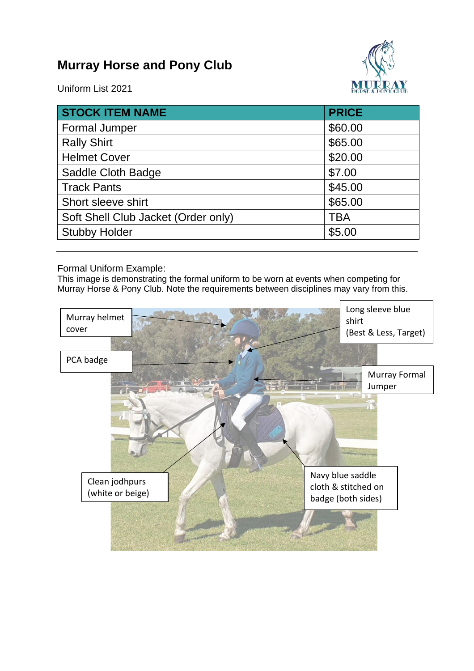## **Murray Horse and Pony Club**



Uniform List 2021

| <b>STOCK ITEM NAME</b>              | <b>PRICE</b> |
|-------------------------------------|--------------|
| <b>Formal Jumper</b>                | \$60.00      |
| <b>Rally Shirt</b>                  | \$65.00      |
| <b>Helmet Cover</b>                 | \$20.00      |
| Saddle Cloth Badge                  | \$7.00       |
| <b>Track Pants</b>                  | \$45.00      |
| Short sleeve shirt                  | \$65.00      |
| Soft Shell Club Jacket (Order only) | <b>TBA</b>   |
| <b>Stubby Holder</b>                | \$5.00       |

Formal Uniform Example:

This image is demonstrating the formal uniform to be worn at events when competing for Murray Horse & Pony Club. Note the requirements between disciplines may vary from this.